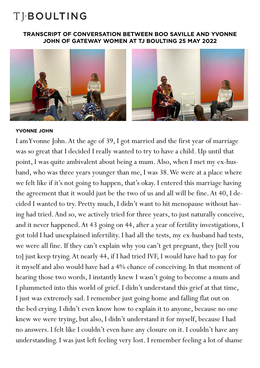#### **TRANSCRIPT OF CONVERSATION BETWEEN BOO SAVILLE AND YVONNE JOHN OF GATEWAY WOMEN AT TJ BOULTING 25 MAY 2022**



#### **YVONNE JOHN**

I am Yvonne John. At the age of 39, I got married and the first year of marriage was so great that I decided I really wanted to try to have a child. Up until that point, I was quite ambivalent about being a mum. Also, when I met my ex-husband, who was three years younger than me, I was 38. We were at a place where we felt like if it's not going to happen, that's okay. I entered this marriage having the agreement that it would just be the two of us and all will be fine. At 40, I decided I wanted to try. Pretty much, I didn't want to hit menopause without having had tried. And so, we actively tried for three years, to just naturally conceive, and it never happened. At 43 going on 44, after a year of fertility investigations, I got told I had unexplained infertility. I had all the tests, my ex-husband had tests, we were all fine. If they can't explain why you can't get pregnant, they [tell you to] just keep trying. At nearly 44, if I had tried IVF, I would have had to pay for it myself and also would have had a 4% chance of conceiving. In that moment of hearing those two words, I instantly knew I wasn't going to become a mum and I plummeted into this world of grief. I didn't understand this grief at that time, I just was extremely sad. I remember just going home and falling flat out on the bed crying. I didn't even know how to explain it to anyone, because no one knew we were trying, but also, I didn't understand it for myself, because I had no answers. I felt like I couldn't even have any closure on it. I couldn't have any understanding. I was just left feeling very lost. I remember feeling a lot of shame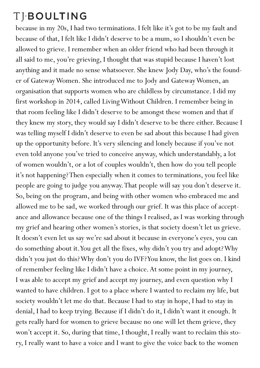because in my 20s, I had two terminations. I felt like it's got to be my fault and because of that, I felt like I didn't deserve to be a mum, so I shouldn't even be allowed to grieve. I remember when an older friend who had been through it all said to me, you're grieving, I thought that was stupid because I haven't lost anything and it made no sense whatsoever. She knew Jody Day, who's the founder of Gateway Women. She introduced me to Jody and Gateway Women, an organisation that supports women who are childless by circumstance. I did my first workshop in 2014, called Living Without Children. I remember being in that room feeling like I didn't deserve to be amongst these women and that if they knew my story, they would say I didn't deserve to be there either. Because I was telling myself I didn't deserve to even be sad about this because I had given up the opportunity before. It's very silencing and lonely because if you've not even told anyone you've tried to conceive anyway, which understandably, a lot of women wouldn't, or a lot of couples wouldn't, then how do you tell people it's not happening? Then especially when it comes to terminations, you feel like people are going to judge you anyway. That people will say you don't deserve it. So, being on the program, and being with other women who embraced me and allowed me to be sad, we worked through our grief. It was this place of acceptance and allowance because one of the things I realised, as I was working through my grief and hearing other women's stories, is that society doesn't let us grieve. It doesn't even let us say we're sad about it because in everyone's eyes, you can do something about it. You get all the fixes, why didn't you try and adopt? Why didn't you just do this? Why don't you do IVF? You know, the list goes on. I kind of remember feeling like I didn't have a choice. At some point in my journey, I was able to accept my grief and accept my journey, and even question why I wanted to have children. I got to a place where I wanted to reclaim my life, but society wouldn't let me do that. Because I had to stay in hope, I had to stay in denial, I had to keep trying. Because if I didn't do it, I didn't want it enough. It gets really hard for women to grieve because no one will let them grieve, they won't accept it. So, during that time, I thought, I really want to reclaim this story, I really want to have a voice and I want to give the voice back to the women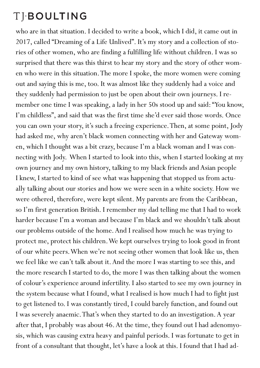### TIBOULTING

who are in that situation. I decided to write a book, which I did, it came out in 2017, called "Dreaming of a Life Unlived". It's my story and a collection of stories of other women, who are finding a fulfilling life without children. I was so surprised that there was this thirst to hear my story and the story of other women who were in this situation. The more I spoke, the more women were coming out and saying this is me, too. It was almost like they suddenly had a voice and they suddenly had permission to just be open about their own journeys. I remember one time I was speaking, a lady in her 50s stood up and said: "You know, I'm childless", and said that was the first time she'd ever said those words. Once you can own your story, it's such a freeing experience. Then, at some point, Jody had asked me, why aren't black women connecting with her and Gateway women, which I thought was a bit crazy, because I'm a black woman and I was connecting with Jody. When I started to look into this, when I started looking at my own journey and my own history, talking to my black friends and Asian people I knew, I started to kind of see what was happening that stopped us from actually talking about our stories and how we were seen in a white society. How we were othered, therefore, were kept silent. My parents are from the Caribbean, so I'm first generation British. I remember my dad telling me that I had to work harder because I'm a woman and because I'm black and we shouldn't talk about our problems outside of the home. And I realised how much he was trying to protect me, protect his children. We kept ourselves trying to look good in front of our white peers. When we're not seeing other women that look like us, then we feel like we can't talk about it. And the more I was starting to see this, and the more research I started to do, the more I was then talking about the women of colour's experience around infertility. I also started to see my own journey in the system because what I found, what I realised is how much I had to fight just to get listened to. I was constantly tired, I could barely function, and found out I was severely anaemic. That's when they started to do an investigation. A year after that, I probably was about 46. At the time, they found out I had adenomyosis, which was causing extra heavy and painful periods. I was fortunate to get in front of a consultant that thought, let's have a look at this. I found that I had ad-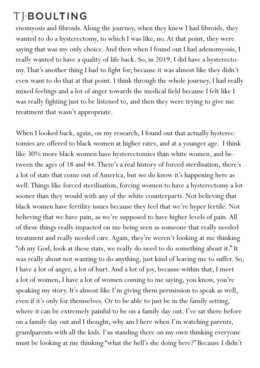enomyosis and fibroids. Along the journey, when they knew I had fibroids, they wanted to do a hysterectomy, to which I was like, no. At that point, they were saying that was my only choice. And then when I found out I had adenomyosis, I really wanted to have a quality of life back. So, in 2019, I did have a hysterectomy. That's another thing I had to fight for, because it was almost like they didn't even want to do that at that point. I think through the whole journey, I had really mixed feelings and a lot of anger towards the medical field because I felt like I was really fighting just to be listened to, and then they were trying to give me treatment that wasn't appropriate.

When I looked back, again, on my research, I found out that actually hysterectomies are offered to black women at higher rates, and at a younger age. I think like 30% more black women have hysterectomies than white women, and between the ages of 18 and 44. There's a real history of forced sterilisation, there's a lot of stats that come out of America, but we do know it's happening here as well. Things like forced sterilisation, forcing women to have a hysterectomy a lot sooner than they would with any of the white counterparts. Not believing that black women have fertility issues because they feel that we're hyper fertile. Not believing that we have pain, as we're supposed to have higher levels of pain. All of these things really impacted on me being seen as someone that really needed treatment and really needed care. Again, they're weren't looking at me thinking "oh my God, look at these stats, we really do need to do something about it." It was really about not wanting to do anything, just kind of leaving me to suffer. So, I have a lot of anger, a lot of hurt. And a lot of joy, because within that, I meet a lot of women, I have a lot of women coming to me saying, you know, you're speaking my story. It's almost like I'm giving them permission to speak as well, even if it's only for themselves. Or to be able to just be in the family setting, where it can be extremely painful to be on a family day out. I've sat there before on a family day out and I thought, why am I here when I'm watching parents, grandparents with all the kids. I'm standing there on my own thinking everyone must be looking at me thinking "what the hell's she doing here?" Because I didn't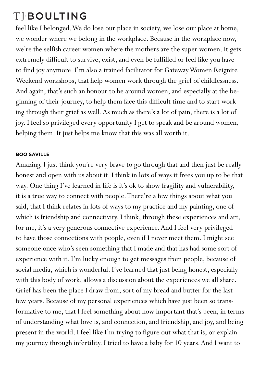feel like I belonged. We do lose our place in society, we lose our place at home, we wonder where we belong in the workplace. Because in the workplace now, we're the selfish career women where the mothers are the super women. It gets extremely difficult to survive, exist, and even be fulfilled or feel like you have to find joy anymore. I'm also a trained facilitator for Gateway Women Reignite Weekend workshops, that help women work through the grief of childlessness. And again, that's such an honour to be around women, and especially at the beginning of their journey, to help them face this difficult time and to start working through their grief as well. As much as there's a lot of pain, there is a lot of joy. I feel so privileged every opportunity I get to speak and be around women, helping them. It just helps me know that this was all worth it.

### **BOO SAVILLE**

Amazing. I just think you're very brave to go through that and then just be really honest and open with us about it. I think in lots of ways it frees you up to be that way. One thing I've learned in life is it's ok to show fragility and vulnerability, it is a true way to connect with people. There're a few things about what you said, that I think relates in lots of ways to my practice and my painting, one of which is friendship and connectivity. I think, through these experiences and art, for me, it's a very generous connective experience. And I feel very privileged to have those connections with people, even if I never meet them. I might see someone once who's seen something that I made and that has had some sort of experience with it. I'm lucky enough to get messages from people, because of social media, which is wonderful. I've learned that just being honest, especially with this body of work, allows a discussion about the experiences we all share. Grief has been the place I draw from, sort of my bread and butter for the last few years. Because of my personal experiences which have just been so transformative to me, that I feel something about how important that's been, in terms of understanding what love is, and connection, and friendship, and joy, and being present in the world. I feel like I'm trying to figure out what that is, or explain my journey through infertility. I tried to have a baby for 10 years. And I want to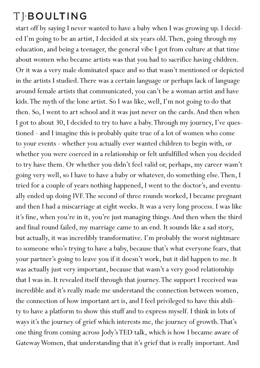start off by saying I never wanted to have a baby when I was growing up. I decided I'm going to be an artist, I decided at six years old. Then, going through my education, and being a teenager, the general vibe I got from culture at that time about women who became artists was that you had to sacrifice having children. Or it was a very male dominated space and so that wasn't mentioned or depicted in the artists I studied. There was a certain language or perhaps lack of language around female artists that communicated, you can't be a woman artist and have kids. The myth of the lone artist. So I was like, well, I'm not going to do that then. So, I went to art school and it was just never on the cards. And then when I got to about 30, I decided to try to have a baby. Through my journey, I've questioned - and I imagine this is probably quite true of a lot of women who come to your events - whether you actually ever wanted children to begin with, or whether you were coerced in a relationship or felt unfulfilled when you decided to try have them. Or whether you didn't feel valid or, perhaps, my career wasn't going very well, so I have to have a baby or whatever, do something else. Then, I tried for a couple of years nothing happened, I went to the doctor's, and eventually ended up doing IVF. The second of three rounds worked, I became pregnant and then I had a miscarriage at eight weeks. It was a very long process. I was like it's fine, when you're in it, you're just managing things. And then when the third and final round failed, my marriage came to an end. It sounds like a sad story, but actually, it was incredibly transformative. I'm probably the worst nightmare to someone who's trying to have a baby, because that's what everyone fears, that your partner's going to leave you if it doesn't work, but it did happen to me. It was actually just very important, because that wasn't a very good relationship that I was in. It revealed itself through that journey. The support I received was incredible and it's really made me understand the connection between women, the connection of how important art is, and I feel privileged to have this ability to have a platform to show this stuff and to express myself. I think in lots of ways it's the journey of grief which interests me, the journey of growth. That's one thing from coming across Jody's TED talk, which is how I became aware of Gateway Women, that understanding that it's grief that is really important. And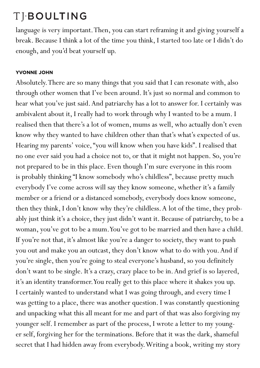language is very important. Then, you can start reframing it and giving yourself a break. Because I think a lot of the time you think, I started too late or I didn't do enough, and you'd beat yourself up.

### **YVONNE JOHN**

Absolutely. There are so many things that you said that I can resonate with, also through other women that I've been around. It's just so normal and common to hear what you've just said. And patriarchy has a lot to answer for. I certainly was ambivalent about it, I really had to work through why I wanted to be a mum. I realised then that there's a lot of women, mums as well, who actually don't even know why they wanted to have children other than that's what's expected of us. Hearing my parents' voice, "you will know when you have kids". I realised that no one ever said you had a choice not to, or that it might not happen. So, you're not prepared to be in this place. Even though I'm sure everyone in this room is probably thinking "I know somebody who's childless", because pretty much everybody I've come across will say they know someone, whether it's a family member or a friend or a distanced somebody, everybody does know someone, then they think, I don't know why they're childless. A lot of the time, they probably just think it's a choice, they just didn't want it. Because of patriarchy, to be a woman, you've got to be a mum. You've got to be married and then have a child. If you're not that, it's almost like you're a danger to society, they want to push you out and make you an outcast, they don't know what to do with you. And if you're single, then you're going to steal everyone's husband, so you definitely don't want to be single. It's a crazy, crazy place to be in. And grief is so layered, it's an identity transformer. You really get to this place where it shakes you up. I certainly wanted to understand what I was going through, and every time I was getting to a place, there was another question. I was constantly questioning and unpacking what this all meant for me and part of that was also forgiving my younger self. I remember as part of the process, I wrote a letter to my younger self, forgiving her for the terminations. Before that it was the dark, shameful secret that I had hidden away from everybody. Writing a book, writing my story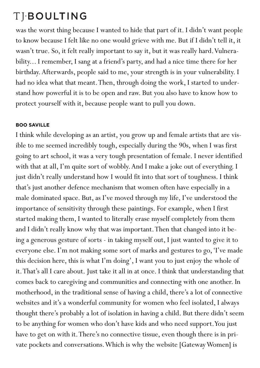was the worst thing because I wanted to hide that part of it. I didn't want people to know because I felt like no one would grieve with me. But if I didn't tell it, it wasn't true. So, it felt really important to say it, but it was really hard. Vulnerability... I remember, I sang at a friend's party, and had a nice time there for her birthday. Afterwards, people said to me, your strength is in your vulnerability. I had no idea what that meant. Then, through doing the work, I started to understand how powerful it is to be open and raw. But you also have to know how to protect yourself with it, because people want to pull you down.

### **BOO SAVILLE**

I think while developing as an artist, you grow up and female artists that are visible to me seemed incredibly tough, especially during the 90s, when I was first going to art school, it was a very tough presentation of female. I never identified with that at all, I'm quite sort of wobbly. And I make a joke out of everything. I just didn't really understand how I would fit into that sort of toughness. I think that's just another defence mechanism that women often have especially in a male dominated space. But, as I've moved through my life, I've understood the importance of sensitivity through these paintings. For example, when I first started making them, I wanted to literally erase myself completely from them and I didn't really know why that was important. Then that changed into it being a generous gesture of sorts - in taking myself out, I just wanted to give it to everyone else. I'm not making some sort of marks and gestures to go, 'I've made this decision here, this is what I'm doing', I want you to just enjoy the whole of it. That's all I care about. Just take it all in at once. I think that understanding that comes back to caregiving and communities and connecting with one another. In motherhood, in the traditional sense of having a child, there's a lot of connective websites and it's a wonderful community for women who feel isolated, I always thought there's probably a lot of isolation in having a child. But there didn't seem to be anything for women who don't have kids and who need support. You just have to get on with it. There's no connective tissue, even though there is in private pockets and conversations. Which is why the website [Gateway Women] is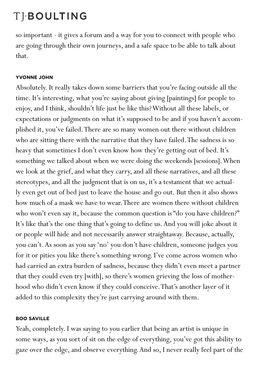so important - it gives a forum and a way for you to connect with people who are going through their own journeys, and a safe space to be able to talk about that.

#### **YVONNE JOHN**

Absolutely. It really takes down some barriers that you're facing outside all the time. It's interesting, what you're saying about giving [paintings] for people to enjoy, and I think, shouldn't life just be like this? Without all these labels, or expectations or judgments on what it's supposed to be and if you haven't accomplished it, you've failed. There are so many women out there without children who are sitting there with the narrative that they have failed. The sadness is so heavy that sometimes I don't even know how they're getting out of bed. It's something we talked about when we were doing the weekends [sessions]. When we look at the grief, and what they carry, and all these narratives, and all these stereotypes, and all the judgment that is on us, it's a testament that we actually even get out of bed just to leave the house and go out. But then it also shows how much of a mask we have to wear. There are women there without children who won't even say it, because the common question is "do you have children?" It's like that's the one thing that's going to define us. And you will joke about it or people will hide and not necessarily answer straightaway. Because, actually, you can't. As soon as you say 'no' you don't have children, someone judges you for it or pities you like there's something wrong. I've come across women who had carried an extra burden of sadness, because they didn't even meet a partner that they could even try [with], so there's women grieving the loss of motherhood who didn't even know if they could conceive. That's another layer of it added to this complexity they're just carrying around with them.

#### **BOO SAVILLE**

Yeah, completely. I was saying to you earlier that being an artist is unique in some ways, as you sort of sit on the edge of everything, you've got this ability to gaze over the edge, and observe everything. And so, I never really feel part of the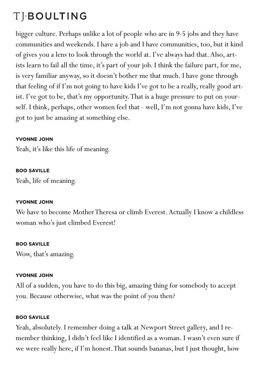# TIBOULTING

bigger culture. Perhaps unlike a lot of people who are in 9-5 jobs and they have communities and weekends. I have a job and I have communities, too, but it kind of gives you a lens to look through the world at. I've always had that. Also, artists learn to fail all the time, it's part of your job. I think the failure part, for me, is very familiar anyway, so it doesn't bother me that much. I have gone through that feeling of if I'm not going to have kids I've got to be a really, really good artist. I've got to be, that's my opportunity. That is a huge pressure to put on yourself. I think, perhaps, other women feel that - well, I'm not gonna have kids, I've got to just be amazing at something else.

#### **YVONNE JOHN**

Yeah, it's like this life of meaning.

#### **BOO SAVILLE**

Yeah, life of meaning.

#### **YVONNE JOHN**

We have to become Mother Theresa or climb Everest. Actually I know a childless woman who's just climbed Everest!

#### **BOO SAVILLE**

Wow, that's amazing.

### **YVONNE JOHN**

All of a sudden, you have to do this big, amazing thing for somebody to accept you. Because otherwise, what was the point of you then?

#### **BOO SAVILLE**

Yeah, absolutely. I remember doing a talk at Newport Street gallery, and I remember thinking, I didn't feel like I identified as a woman. I wasn't even sure if we were really here, if I'm honest. That sounds bananas, but I just thought, how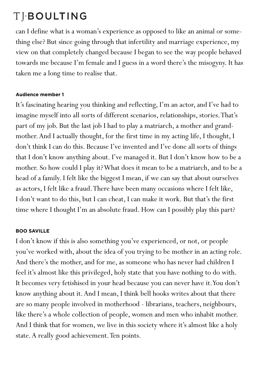can I define what is a woman's experience as opposed to like an animal or something else? But since going through that infertility and marriage experience, my view on that completely changed because I began to see the way people behaved towards me because I'm female and I guess in a word there's the misogyny. It has taken me a long time to realise that.

#### **Audience member 1**

It's fascinating hearing you thinking and reflecting, I'm an actor, and I've had to imagine myself into all sorts of different scenarios, relationships, stories. That's part of my job. But the last job I had to play a matriarch, a mother and grandmother. And I actually thought, for the first time in my acting life, I thought, I don't think I can do this. Because I've invented and I've done all sorts of things that I don't know anything about. I've managed it. But I don't know how to be a mother. So how could I play it? What does it mean to be a matriarch, and to be a head of a family. I felt like the biggest I mean, if we can say that about ourselves as actors, I felt like a fraud. There have been many occasions where I felt like, I don't want to do this, but I can cheat, I can make it work. But that's the first time where I thought I'm an absolute fraud. How can I possibly play this part?

#### **BOO SAVILLE**

I don't know if this is also something you've experienced, or not, or people you've worked with, about the idea of you trying to be mother in an acting role. And there's the mother, and for me, as someone who has never had children I feel it's almost like this privileged, holy state that you have nothing to do with. It becomes very fetishised in your head because you can never have it. You don't know anything about it. And I mean, I think bell hooks writes about that there are so many people involved in motherhood - librarians, teachers, neighbours, like there's a whole collection of people, women and men who inhabit mother. And I think that for women, we live in this society where it's almost like a holy state. A really good achievement. Ten points.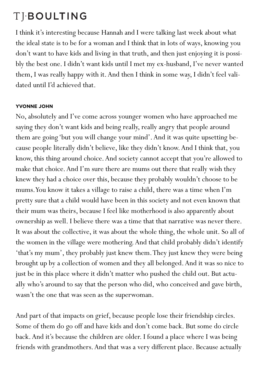I think it's interesting because Hannah and I were talking last week about what the ideal state is to be for a woman and I think that in lots of ways, knowing you don't want to have kids and living in that truth, and then just enjoying it is possibly the best one. I didn't want kids until I met my ex-husband, I've never wanted them, I was really happy with it. And then I think in some way, I didn't feel validated until I'd achieved that.

### **YVONNE JOHN**

No, absolutely and I've come across younger women who have approached me saying they don't want kids and being really, really angry that people around them are going 'but you will change your mind'. And it was quite upsetting because people literally didn't believe, like they didn't know. And I think that, you know, this thing around choice. And society cannot accept that you're allowed to make that choice. And I'm sure there are mums out there that really wish they knew they had a choice over this, because they probably wouldn't choose to be mums. You know it takes a village to raise a child, there was a time when I'm pretty sure that a child would have been in this society and not even known that their mum was theirs, because I feel like motherhood is also apparently about ownership as well. I believe there was a time that that narrative was never there. It was about the collective, it was about the whole thing, the whole unit. So all of the women in the village were mothering. And that child probably didn't identify 'that's my mum', they probably just knew them. They just knew they were being brought up by a collection of women and they all belonged. And it was so nice to just be in this place where it didn't matter who pushed the child out. But actually who's around to say that the person who did, who conceived and gave birth, wasn't the one that was seen as the superwoman.

And part of that impacts on grief, because people lose their friendship circles. Some of them do go off and have kids and don't come back. But some do circle back. And it's because the children are older. I found a place where I was being friends with grandmothers. And that was a very different place. Because actually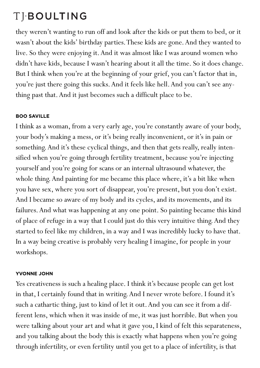they weren't wanting to run off and look after the kids or put them to bed, or it wasn't about the kids' birthday parties. These kids are gone. And they wanted to live. So they were enjoying it. And it was almost like I was around women who didn't have kids, because I wasn't hearing about it all the time. So it does change. But I think when you're at the beginning of your grief, you can't factor that in, you're just there going this sucks. And it feels like hell. And you can't see anything past that. And it just becomes such a difficult place to be.

### **BOO SAVILLE**

I think as a woman, from a very early age, you're constantly aware of your body, your body's making a mess, or it's being really inconvenient, or it's in pain or something. And it's these cyclical things, and then that gets really, really intensified when you're going through fertility treatment, because you're injecting yourself and you're going for scans or an internal ultrasound whatever, the whole thing. And painting for me became this place where, it's a bit like when you have sex, where you sort of disappear, you're present, but you don't exist. And I became so aware of my body and its cycles, and its movements, and its failures. And what was happening at any one point. So painting became this kind of place of refuge in a way that I could just do this very intuitive thing. And they started to feel like my children, in a way and I was incredibly lucky to have that. In a way being creative is probably very healing I imagine, for people in your workshops.

### **YVONNE JOHN**

Yes creativeness is such a healing place. I think it's because people can get lost in that, I certainly found that in writing. And I never wrote before. I found it's such a cathartic thing, just to kind of let it out. And you can see it from a different lens, which when it was inside of me, it was just horrible. But when you were talking about your art and what it gave you, I kind of felt this separateness, and you talking about the body this is exactly what happens when you're going through infertility, or even fertility until you get to a place of infertility, is that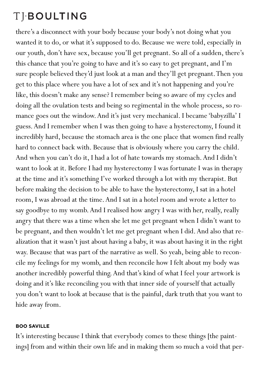there's a disconnect with your body because your body's not doing what you wanted it to do, or what it's supposed to do. Because we were told, especially in our youth, don't have sex, because you'll get pregnant. So all of a sudden, there's this chance that you're going to have and it's so easy to get pregnant, and I'm sure people believed they'd just look at a man and they'll get pregnant. Then you get to this place where you have a lot of sex and it's not happening and you're like, this doesn't make any sense? I remember being so aware of my cycles and doing all the ovulation tests and being so regimental in the whole process, so romance goes out the window. And it's just very mechanical. I became 'babyzilla' I guess. And I remember when I was then going to have a hysterectomy, I found it incredibly hard, because the stomach area is the one place that women find really hard to connect back with. Because that is obviously where you carry the child. And when you can't do it, I had a lot of hate towards my stomach. And I didn't want to look at it. Before I had my hysterectomy I was fortunate I was in therapy at the time and it's something I've worked through a lot with my therapist. But before making the decision to be able to have the hysterectomy, I sat in a hotel room, I was abroad at the time. And I sat in a hotel room and wrote a letter to say goodbye to my womb. And I realised how angry I was with her, really, really angry that there was a time when she let me get pregnant when I didn't want to be pregnant, and then wouldn't let me get pregnant when I did. And also that realization that it wasn't just about having a baby, it was about having it in the right way. Because that was part of the narrative as well. So yeah, being able to reconcile my feelings for my womb, and then reconcile how I felt about my body was another incredibly powerful thing. And that's kind of what I feel your artwork is doing and it's like reconciling you with that inner side of yourself that actually you don't want to look at because that is the painful, dark truth that you want to hide away from.

#### **BOO SAVILLE**

It's interesting because I think that everybody comes to these things [the paintings] from and within their own life and in making them so much a void that per-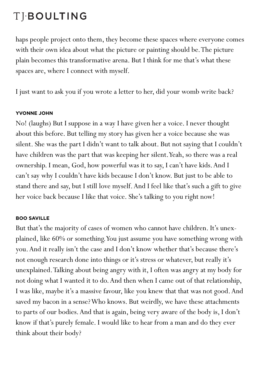haps people project onto them, they become these spaces where everyone comes with their own idea about what the picture or painting should be. The picture plain becomes this transformative arena. But I think for me that's what these spaces are, where I connect with myself.

I just want to ask you if you wrote a letter to her, did your womb write back?

### **YVONNE JOHN**

No! (laughs) But I suppose in a way I have given her a voice. I never thought about this before. But telling my story has given her a voice because she was silent. She was the part I didn't want to talk about. But not saying that I couldn't have children was the part that was keeping her silent. Yeah, so there was a real ownership. I mean, God, how powerful was it to say, I can't have kids. And I can't say why I couldn't have kids because I don't know. But just to be able to stand there and say, but I still love myself. And I feel like that's such a gift to give her voice back because I like that voice. She's talking to you right now!

### **BOO SAVILLE**

But that's the majority of cases of women who cannot have children. It's unexplained, like 60% or something. You just assume you have something wrong with you. And it really isn't the case and I don't know whether that's because there's not enough research done into things or it's stress or whatever, but really it's unexplained. Talking about being angry with it, I often was angry at my body for not doing what I wanted it to do. And then when I came out of that relationship, I was like, maybe it's a massive favour, like you knew that that was not good. And saved my bacon in a sense? Who knows. But weirdly, we have these attachments to parts of our bodies. And that is again, being very aware of the body is, I don't know if that's purely female. I would like to hear from a man and do they ever think about their body?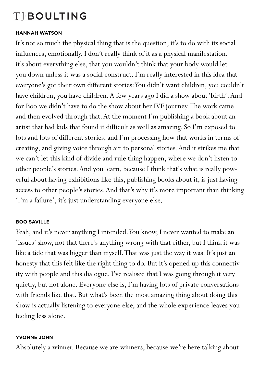#### **HANNAH WATSON**

It's not so much the physical thing that is the question, it's to do with its social influences, emotionally. I don't really think of it as a physical manifestation, it's about everything else, that you wouldn't think that your body would let you down unless it was a social construct. I'm really interested in this idea that everyone's got their own different stories: You didn't want children, you couldn't have children, you have children. A few years ago I did a show about 'birth'. And for Boo we didn't have to do the show about her IVF journey. The work came and then evolved through that. At the moment I'm publishing a book about an artist that had kids that found it difficult as well as amazing. So I'm exposed to lots and lots of different stories, and I'm processing how that works in terms of creating, and giving voice through art to personal stories. And it strikes me that we can't let this kind of divide and rule thing happen, where we don't listen to other people's stories. And you learn, because I think that's what is really powerful about having exhibitions like this, publishing books about it, is just having access to other people's stories. And that's why it's more important than thinking 'I'm a failure', it's just understanding everyone else.

#### **BOO SAVILLE**

Yeah, and it's never anything I intended. You know, I never wanted to make an 'issues' show, not that there's anything wrong with that either, but I think it was like a tide that was bigger than myself. That was just the way it was. It's just an honesty that this felt like the right thing to do. But it's opened up this connectivity with people and this dialogue. I've realised that I was going through it very quietly, but not alone. Everyone else is, I'm having lots of private conversations with friends like that. But what's been the most amazing thing about doing this show is actually listening to everyone else, and the whole experience leaves you feeling less alone.

#### **YVONNE JOHN**

Absolutely a winner. Because we are winners, because we're here talking about